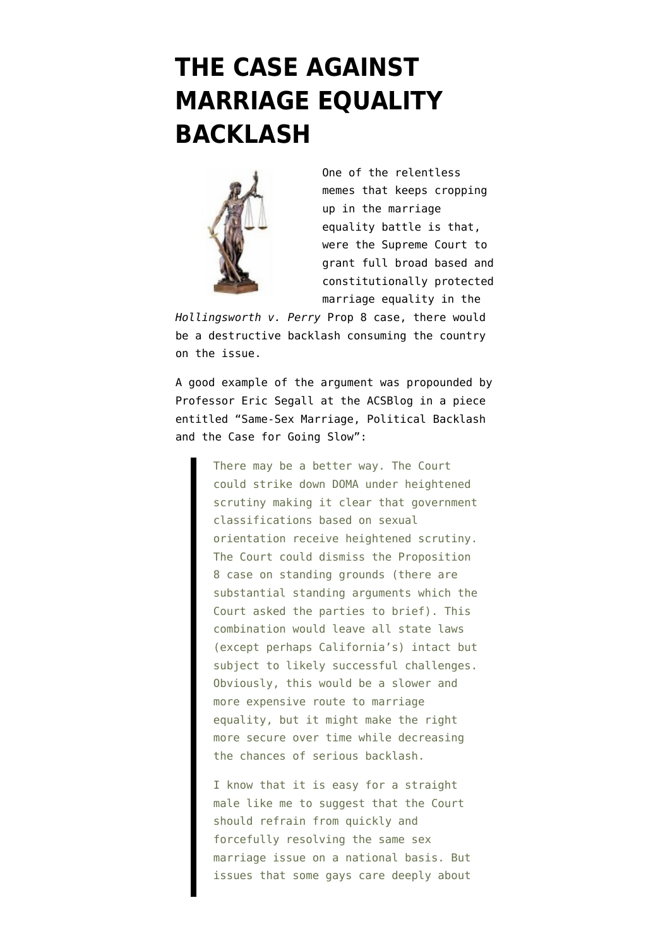## **[THE CASE AGAINST](https://www.emptywheel.net/2013/03/26/the-case-against-marriage-equality-backlash/) [MARRIAGE EQUALITY](https://www.emptywheel.net/2013/03/26/the-case-against-marriage-equality-backlash/) [BACKLASH](https://www.emptywheel.net/2013/03/26/the-case-against-marriage-equality-backlash/)**



One of the relentless memes that keeps cropping up in the marriage equality battle is that, were the Supreme Court to grant full broad based and constitutionally protected marriage equality in the

*Hollingsworth v. Perry* Prop 8 case, there would be a destructive backlash consuming the country on the issue.

A good example of the argument was propounded by Professor Eric Segall at the ACSBlog in a piece entitled ["Same-Sex Marriage, Political Backlash](http://www.acslaw.org/acsblog/same-sex-marriage-political-backlash-and-the-case-for-going-slow) [and the Case for Going Slow"](http://www.acslaw.org/acsblog/same-sex-marriage-political-backlash-and-the-case-for-going-slow):

> There may be a better way. The Court could strike down DOMA under heightened scrutiny making it clear that government classifications based on sexual orientation receive heightened scrutiny. The Court could dismiss the Proposition 8 case on standing grounds (there are substantial standing arguments which the Court asked the parties to brief). This combination would leave all state laws (except perhaps California's) intact but subject to likely successful challenges. Obviously, this would be a slower and more expensive route to marriage equality, but it might make the right more secure over time while decreasing the chances of serious backlash.

I know that it is easy for a straight male like me to suggest that the Court should refrain from quickly and forcefully resolving the same sex marriage issue on a national basis. But issues that some gays care deeply about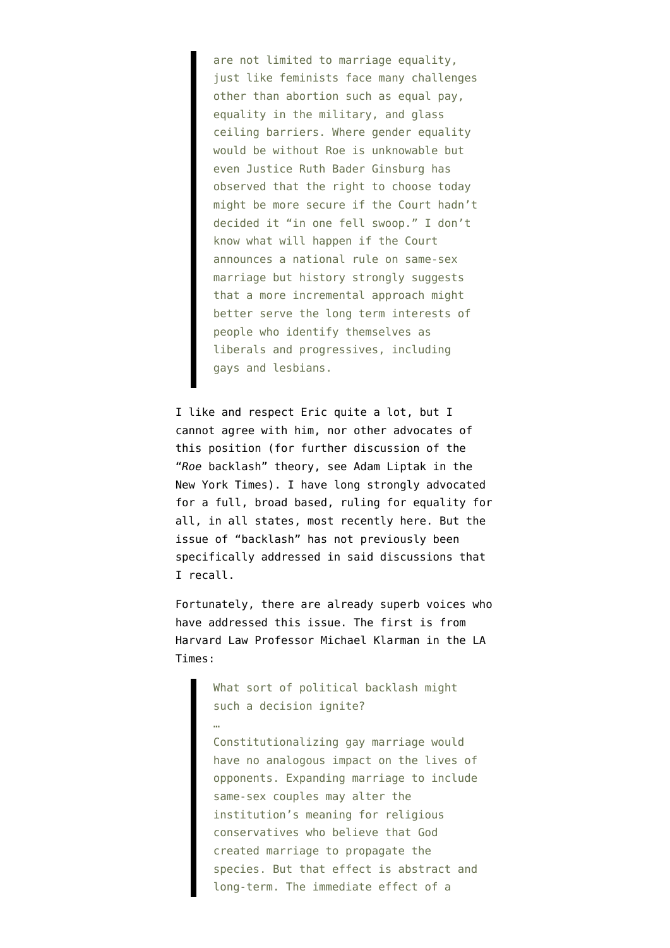are not limited to marriage equality, just like feminists face many challenges other than abortion such as equal pay, equality in the military, and glass ceiling barriers. Where gender equality would be without Roe is unknowable but even Justice Ruth Bader Ginsburg has observed that the right to choose today might be more secure if the Court hadn't decided it "in one fell swoop." I don't know what will happen if the Court announces a national rule on same-sex marriage but history strongly suggests that a more incremental approach might better serve the long term interests of people who identify themselves as liberals and progressives, including gays and lesbians.

I like and respect Eric quite a lot, but I cannot agree with him, nor other advocates of this position (for further discussion of the "*Roe* backlash" theory, see [Adam Liptak in the](http://www.nytimes.com/2013/03/24/us/roes-shadow-as-supreme-court-hears-same-sex-marriage-cases.html?pagewanted=all) [New York Times](http://www.nytimes.com/2013/03/24/us/roes-shadow-as-supreme-court-hears-same-sex-marriage-cases.html?pagewanted=all)). I have [long strongly advocated](http://www.emptywheel.net/category/prop-8/) for a full, broad based, ruling for equality for all, in all states, [most recently here.](http://www.emptywheel.net/2013/03/25/a-path-to-civil-rights-history-for-the-supreme-court-obama-and-verrilli/) But the issue of "backlash" has not previously been specifically addressed in said discussions that I recall.

Fortunately, there are already superb voices who have addressed this issue. The first is from Harvard Law Professor [Michael Klarman in the LA](http://www.latimes.com/news/opinion/commentary/la-oe-klarman-scotus-and-gay-marriage-20130324,0,6123316.story) [Times](http://www.latimes.com/news/opinion/commentary/la-oe-klarman-scotus-and-gay-marriage-20130324,0,6123316.story):

> What sort of political backlash might such a decision ignite?

…

Constitutionalizing gay marriage would have no analogous impact on the lives of opponents. Expanding marriage to include same-sex couples may alter the institution's meaning for religious conservatives who believe that God created marriage to propagate the species. But that effect is abstract and long-term. The immediate effect of a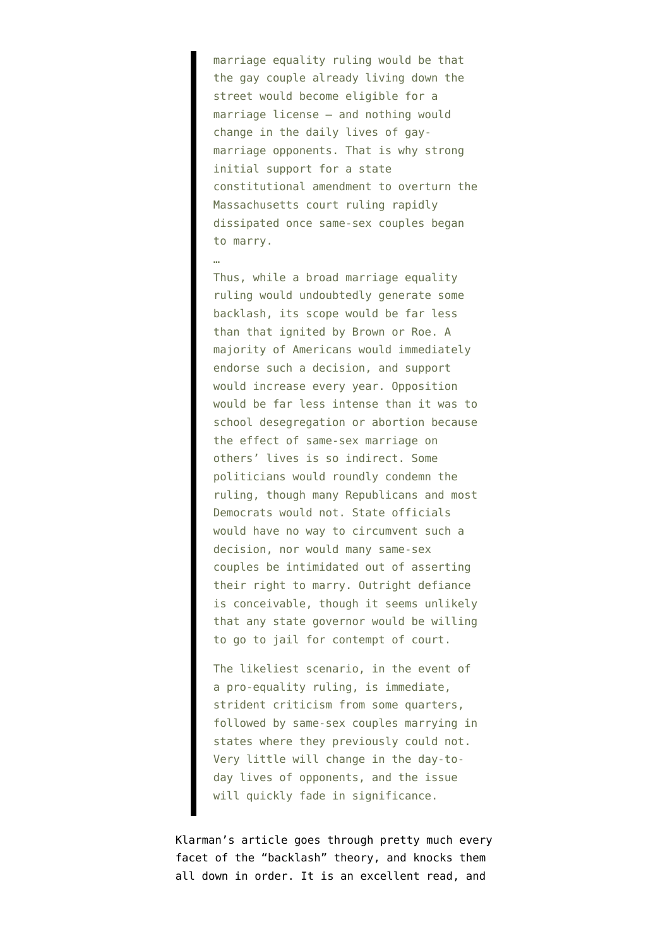marriage equality ruling would be that the gay couple already living down the street would become eligible for a marriage license — and nothing would change in the daily lives of gaymarriage opponents. That is why strong initial support for a state constitutional amendment to overturn the Massachusetts court ruling rapidly dissipated once same-sex couples began to marry.

…

Thus, while a broad marriage equality ruling would undoubtedly generate some backlash, its scope would be far less than that ignited by Brown or Roe. A majority of Americans would immediately endorse such a decision, and support would increase every year. Opposition would be far less intense than it was to school desegregation or abortion because the effect of same-sex marriage on others' lives is so indirect. Some politicians would roundly condemn the ruling, though many Republicans and most Democrats would not. State officials would have no way to circumvent such a decision, nor would many same-sex couples be intimidated out of asserting their right to marry. Outright defiance is conceivable, though it seems unlikely that any state governor would be willing to go to jail for contempt of court.

The likeliest scenario, in the event of a pro-equality ruling, is immediate, strident criticism from some quarters, followed by same-sex couples marrying in states where they previously could not. Very little will change in the day-today lives of opponents, and the issue will quickly fade in significance.

Klarman's article goes through pretty much every facet of the "backlash" theory, and knocks them all down in order. It is an excellent read, and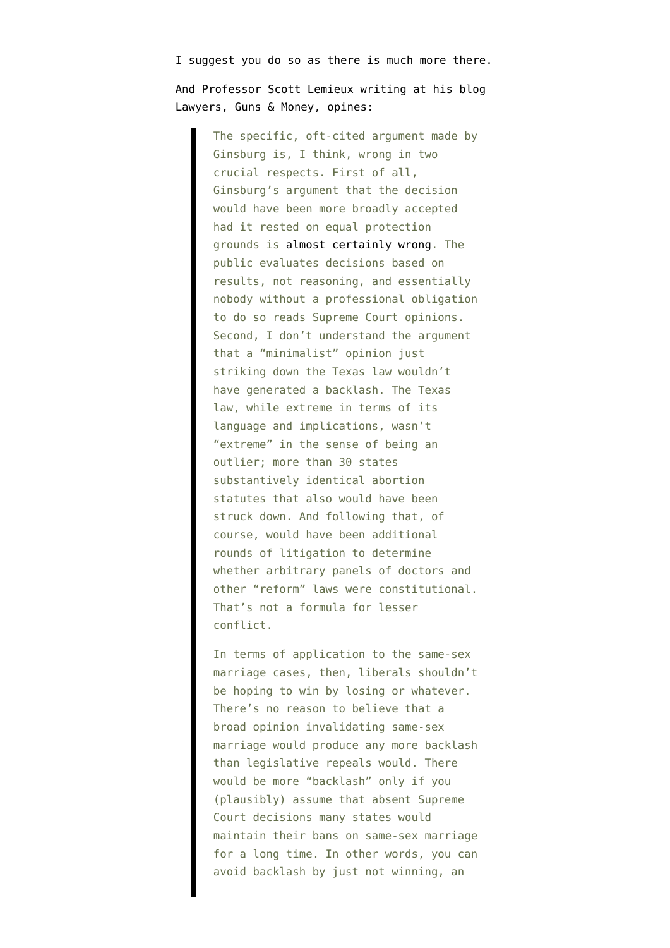I suggest you do so as there is much more there.

And Professor [Scott Lemieux writing at his blog](http://www.lawyersgunsmoneyblog.com/2013/03/roe-and-same-sex-marriage) [Lawyers, Guns & Money](http://www.lawyersgunsmoneyblog.com/2013/03/roe-and-same-sex-marriage), opines:

> The specific, oft-cited argument made by Ginsburg is, I think, wrong in two crucial respects. First of all, Ginsburg's argument that the decision would have been more broadly accepted had it rested on equal protection grounds is [almost certainly wrong](http://www.lawyersgunsmoneyblog.com/2012/02/ginsburg-and-the-timing-of-roe). The public evaluates decisions based on results, not reasoning, and essentially nobody without a professional obligation to do so reads Supreme Court opinions. Second, I don't understand the argument that a "minimalist" opinion just striking down the Texas law wouldn't have generated a backlash. The Texas law, while extreme in terms of its language and implications, wasn't "extreme" in the sense of being an outlier; more than 30 states substantively identical abortion statutes that also would have been struck down. And following that, of course, would have been additional rounds of litigation to determine whether arbitrary panels of doctors and other "reform" laws were constitutional. That's not a formula for lesser conflict.

> In terms of application to the same-sex marriage cases, then, liberals shouldn't be hoping to win by losing or whatever. There's no reason to believe that a broad opinion invalidating same-sex marriage would produce any more backlash than legislative repeals would. There would be more "backlash" only if you (plausibly) assume that absent Supreme Court decisions many states would maintain their bans on same-sex marriage for a long time. In other words, you can avoid backlash by just not winning, an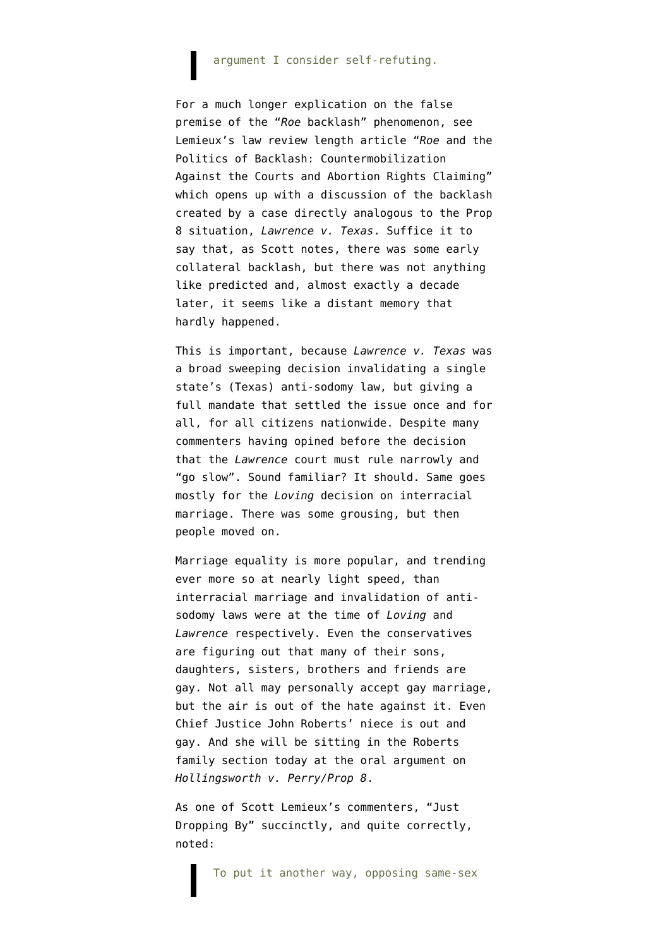## argument I consider self-refuting.

For a much longer explication on the false premise of the "*Roe* backlash" phenomenon, see Lemieux's law review length article ["](http://works.bepress.com/cgi/viewcontent.cgi?article=1002&context=scott_lemieux)*[Roe](http://works.bepress.com/cgi/viewcontent.cgi?article=1002&context=scott_lemieux)* [and the](http://works.bepress.com/cgi/viewcontent.cgi?article=1002&context=scott_lemieux) [Politics of Backlash: Countermobilization](http://works.bepress.com/cgi/viewcontent.cgi?article=1002&context=scott_lemieux) [Against the Courts and Abortion Rights Claiming"](http://works.bepress.com/cgi/viewcontent.cgi?article=1002&context=scott_lemieux) which opens up with a discussion of the backlash created by a case directly analogous to the Prop 8 situation, *Lawrence v. Texas*. Suffice it to say that, as Scott notes, there was some early collateral backlash, but there was not anything like predicted and, almost exactly a decade later, it seems like a distant memory that hardly happened.

This is important, because *Lawrence v. Texas* was a broad sweeping decision invalidating a single state's (Texas) anti-sodomy law, but giving a full mandate that settled the issue once and for all, for all citizens nationwide. Despite many commenters having opined before the decision that the *Lawrence* court must rule narrowly and "go slow". Sound familiar? It should. Same goes mostly for the *Loving* decision on interracial marriage. There was some grousing, but then people moved on.

Marriage equality is more popular, and trending ever more so at nearly light speed, than interracial marriage and invalidation of antisodomy laws were at the time of *Loving* and *Lawrence* respectively. Even the conservatives are figuring out that many of their sons, daughters, sisters, brothers and friends are gay. Not all may personally accept gay marriage, but the air is out of the hate against it. Even [Chief Justice John Roberts' niece is out and](http://www.latimes.com/local/lanow/la-me-ln-prop.8-chief-justices-cousin-a-lesbian-will-attend-prop-8-hearing-20130324,0,834185.story) [gay.](http://www.latimes.com/local/lanow/la-me-ln-prop.8-chief-justices-cousin-a-lesbian-will-attend-prop-8-hearing-20130324,0,834185.story) And she will be sitting in the Roberts family section today at the oral argument on *Hollingsworth v. Perry/Prop 8*.

As one of Scott Lemieux's commenters, ["Just](http://www.lawyersgunsmoneyblog.com/2013/03/roe-and-same-sex-marriage/comment-page-1#comment-489914) [Dropping By"](http://www.lawyersgunsmoneyblog.com/2013/03/roe-and-same-sex-marriage/comment-page-1#comment-489914) succinctly, and quite correctly, noted:

To put it another way, opposing same-sex